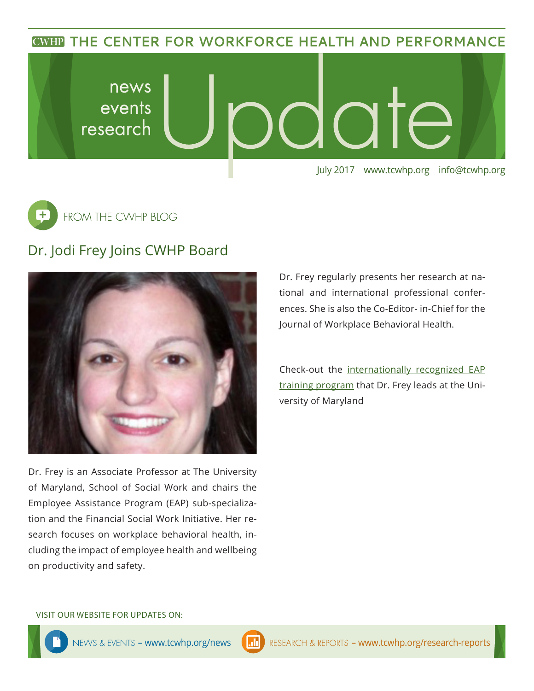**CWHP THE CENTER FOR WORKFORCE HEALTH AND PERFORMANCE** 





## Dr. Jodi Frey Joins CWHP Board



Dr. Frey is an Associate Professor at The University of Maryland, School of Social Work and chairs the Employee Assistance Program (EAP) sub-specialization and the Financial Social Work Initiative. Her research focuses on workplace behavioral health, including the impact of employee health and wellbeing on productivity and safety.

Dr. Frey regularly presents her research at national and international professional conferences. She is also the Co-Editor- in-Chief for the Journal of Workplace Behavioral Health.

Check-out the [internationally recognized EAP](http://www.ssw.umaryland.edu/eap/)  [training program](http://www.ssw.umaryland.edu/eap/) that Dr. Frey leads at the University of Maryland

### VISIT OUR WEBSITE FOR UPDATES ON: